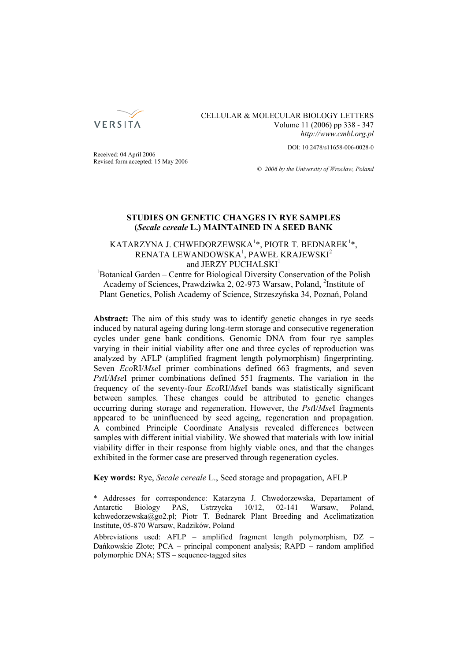

## CELLULAR & MOLECULAR BIOLOGY LETTERS Volume 11 (2006) pp 338 - 347 *http://www.cmbl.org.pl*

DOI: 10.2478/s11658-006-0028-0

Received: 04 April 2006 Revised form accepted: 15 May 2006

*© 2006 by the University of Wrocław, Poland*

## **STUDIES ON GENETIC CHANGES IN RYE SAMPLES (***Secale cereale* **L.) MAINTAINED IN A SEED BANK**

# KATARZYNA J. CHWEDORZEWSKA $^{1*}$ , PIOTR T. BEDNAREK $^{1*}$ , RENATA LEWANDOWSKA $^1$ , PAWEŁ KRAJEWSKI $^2$ and JERZY PUCHALSKI<sup>1</sup>

<sup>1</sup>Botanical Garden – Centre for Biological Diversity Conservation of the Polish Academy of Sciences, Prawdziwka 2, 02-973 Warsaw, Poland, <sup>2</sup>Institute of Plant Genetics, Polish Academy of Science, Strzeszyńska 34, Poznań, Poland

**Abstract:** The aim of this study was to identify genetic changes in rye seeds induced by natural ageing during long-term storage and consecutive regeneration cycles under gene bank conditions. Genomic DNA from four rye samples varying in their initial viability after one and three cycles of reproduction was analyzed by AFLP (amplified fragment length polymorphism) fingerprinting. Seven *Eco*RI/*Mse*I primer combinations defined 663 fragments, and seven *Pst*I/*Mse*I primer combinations defined 551 fragments. The variation in the frequency of the seventy-four *Eco*RI/*Mse*I bands was statistically significant between samples. These changes could be attributed to genetic changes occurring during storage and regeneration. However, the *Pst*I/*Mse*I fragments appeared to be uninfluenced by seed ageing, regeneration and propagation. A combined Principle Coordinate Analysis revealed differences between samples with different initial viability. We showed that materials with low initial viability differ in their response from highly viable ones, and that the changes exhibited in the former case are preserved through regeneration cycles.

**Key words:** Rye, *Secale cereale* L., Seed storage and propagation, AFLP

<sup>\*</sup> Addresses for correspondence: Katarzyna J. Chwedorzewska, Departament of Antarctic Biology PAS, Ustrzycka 10/12, 02-141 Warsaw, Poland, kchwedorzewska@go2.pl; Piotr T. Bednarek Plant Breeding and Acclimatization Institute, 05-870 Warsaw, Radzików, Poland

Abbreviations used: AFLP – amplified fragment length polymorphism, DZ – Dańkowskie Złote; PCA – principal component analysis; RAPD – random amplified polymorphic DNA; STS – sequence-tagged sites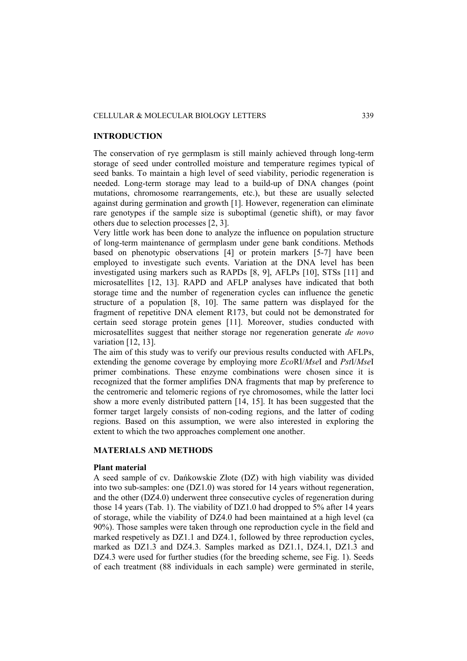## CELLULAR & MOLECULAR BIOLOGY LETTERS 339

## **INTRODUCTION**

The conservation of rye germplasm is still mainly achieved through long-term storage of seed under controlled moisture and temperature regimes typical of seed banks. To maintain a high level of seed viability, periodic regeneration is needed. Long-term storage may lead to a build-up of DNA changes (point mutations, chromosome rearrangements, etc.), but these are usually selected against during germination and growth [1]. However, regeneration can eliminate rare genotypes if the sample size is suboptimal (genetic shift), or may favor others due to selection processes [2, 3].

Very little work has been done to analyze the influence on population structure of long-term maintenance of germplasm under gene bank conditions. Methods based on phenotypic observations [4] or protein markers [5-7] have been employed to investigate such events. Variation at the DNA level has been investigated using markers such as RAPDs [8, 9], AFLPs [10], STSs [11] and microsatellites [12, 13]. RAPD and AFLP analyses have indicated that both storage time and the number of regeneration cycles can influence the genetic structure of a population [8, 10]. The same pattern was displayed for the fragment of repetitive DNA element R173, but could not be demonstrated for certain seed storage protein genes [11]. Moreover, studies conducted with microsatellites suggest that neither storage nor regeneration generate *de novo*  variation [12, 13].

The aim of this study was to verify our previous results conducted with AFLPs, extending the genome coverage by employing more *Eco*RI/*Mse*I and *Pst*I/*Mse*I primer combinations. These enzyme combinations were chosen since it is recognized that the former amplifies DNA fragments that map by preference to the centromeric and telomeric regions of rye chromosomes, while the latter loci show a more evenly distributed pattern [14, 15]. It has been suggested that the former target largely consists of non-coding regions, and the latter of coding regions. Based on this assumption, we were also interested in exploring the extent to which the two approaches complement one another.

## **MATERIALS AND METHODS**

## **Plant material**

A seed sample of cv. Dańkowskie Złote (DZ) with high viability was divided into two sub-samples: one (DZ1.0) was stored for 14 years without regeneration, and the other (DZ4.0) underwent three consecutive cycles of regeneration during those 14 years (Tab. 1). The viability of DZ1.0 had dropped to 5% after 14 years of storage, while the viability of DZ4.0 had been maintained at a high level (ca 90%). Those samples were taken through one reproduction cycle in the field and marked respetively as DZ1.1 and DZ4.1, followed by three reproduction cycles, marked as DZ1.3 and DZ4.3. Samples marked as DZ1.1, DZ4.1, DZ1.3 and DZ4.3 were used for further studies (for the breeding scheme, see Fig. 1). Seeds of each treatment (88 individuals in each sample) were germinated in sterile,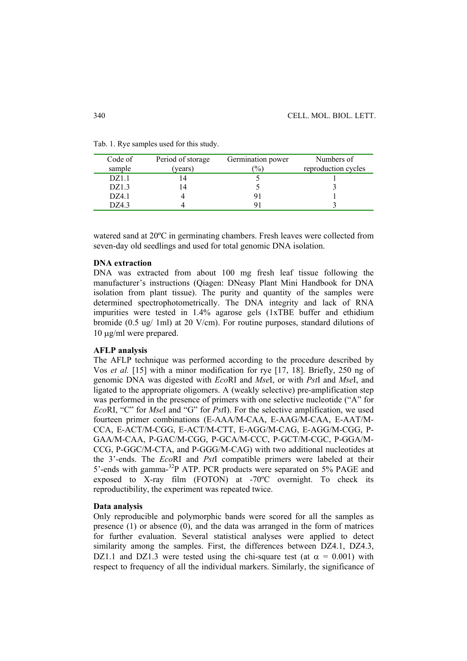| Code of | Period of storage | Germination power | Numbers of          |
|---------|-------------------|-------------------|---------------------|
| sample  | (years)           | $\frac{1}{2}$     | reproduction cycles |
| DZ1.1   |                   |                   |                     |
| DZ1.3   | 4                 |                   |                     |
| DZ4.1   |                   |                   |                     |
| DZ4.3   |                   |                   |                     |

Tab. 1. Rye samples used for this study.

watered sand at 20ºC in germinating chambers. Fresh leaves were collected from seven-day old seedlings and used for total genomic DNA isolation.

## **DNA extraction**

DNA was extracted from about 100 mg fresh leaf tissue following the manufacturer's instructions (Qiagen: DNeasy Plant Mini Handbook for DNA isolation from plant tissue). The purity and quantity of the samples were determined spectrophotometrically. The DNA integrity and lack of RNA impurities were tested in 1.4% agarose gels (1xTBE buffer and ethidium bromide (0.5 ug/ 1ml) at 20 V/cm). For routine purposes, standard dilutions of 10 μg/ml were prepared.

## **AFLP analysis**

The AFLP technique was performed according to the procedure described by Vos *et al.* [15] with a minor modification for rye [17, 18]. Briefly, 250 ng of genomic DNA was digested with *Eco*RI and *Mse*I, or with *Pst*I and *Mse*I, and ligated to the appropriate oligomers. A (weakly selective) pre-amplification step was performed in the presence of primers with one selective nucleotide ("A" for *Eco*RI, "C" for *Mse*I and "G" for *Pst*I). For the selective amplification, we used fourteen primer combinations (E-AAA/M-CAA, E-AAG/M-CAA, E-AAT/M-CCA, E-ACT/M-CGG, E-ACT/M-CTT, E-AGG/M-CAG, E-AGG/M-CGG, P-GAA/M-CAA, P-GAC/M-CGG, P-GCA/M-CCC, P-GCT/M-CGC, P-GGA/M-CCG, P-GGC/M-CTA, and P-GGG/M-CAG) with two additional nucleotides at the 3'-ends. The *Eco*RI and *Pst*I compatible primers were labeled at their 5'-ends with gamma-32P ATP. PCR products were separated on 5% PAGE and exposed to X-ray film (FOTON) at -70ºC overnight. To check its reproductibility, the experiment was repeated twice.

#### **Data analysis**

Only reproducible and polymorphic bands were scored for all the samples as presence (1) or absence (0), and the data was arranged in the form of matrices for further evaluation. Several statistical analyses were applied to detect similarity among the samples. First, the differences between DZ4.1, DZ4.3, DZ1.1 and DZ1.3 were tested using the chi-square test (at  $\alpha = 0.001$ ) with respect to frequency of all the individual markers. Similarly, the significance of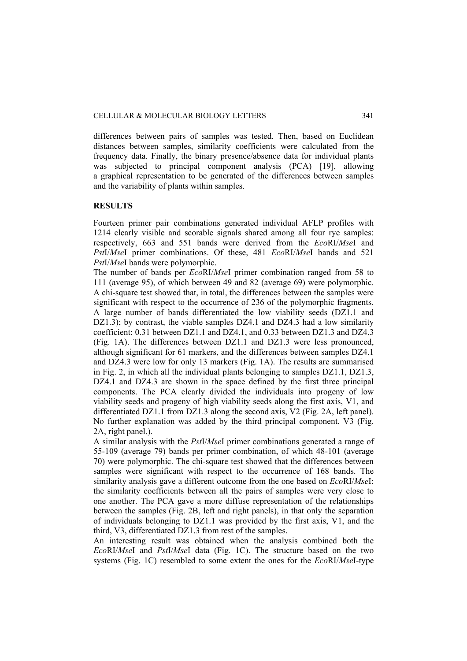differences between pairs of samples was tested. Then, based on Euclidean distances between samples, similarity coefficients were calculated from the frequency data. Finally, the binary presence/absence data for individual plants was subjected to principal component analysis (PCA) [19], allowing a graphical representation to be generated of the differences between samples and the variability of plants within samples.

## **RESULTS**

Fourteen primer pair combinations generated individual AFLP profiles with 1214 clearly visible and scorable signals shared among all four rye samples: respectively, 663 and 551 bands were derived from the *Eco*RI/*Mse*I and *Pst*I/*Mse*I primer combinations. Of these, 481 *Eco*RI/*Mse*I bands and 521 *Pst*I/*Mse*I bands were polymorphic.

The number of bands per *Eco*RI/*Mse*I primer combination ranged from 58 to 111 (average 95), of which between 49 and 82 (average 69) were polymorphic. A chi-square test showed that, in total, the differences between the samples were significant with respect to the occurrence of 236 of the polymorphic fragments. A large number of bands differentiated the low viability seeds (DZ1.1 and DZ1.3); by contrast, the viable samples DZ4.1 and DZ4.3 had a low similarity coefficient: 0.31 between DZ1.1 and DZ4.1, and 0.33 between DZ1.3 and DZ4.3 (Fig. 1A). The differences between DZ1.1 and DZ1.3 were less pronounced, although significant for 61 markers, and the differences between samples DZ4.1 and DZ4.3 were low for only 13 markers (Fig. 1A). The results are summarised in Fig. 2, in which all the individual plants belonging to samples DZ1.1, DZ1.3, DZ4.1 and DZ4.3 are shown in the space defined by the first three principal components. The PCA clearly divided the individuals into progeny of low viability seeds and progeny of high viability seeds along the first axis, V1, and differentiated DZ1.1 from DZ1.3 along the second axis, V2 (Fig. 2A, left panel). No further explanation was added by the third principal component, V3 (Fig. 2A, right panel.).

A similar analysis with the *Pst*I/*Mse*I primer combinations generated a range of 55-109 (average 79) bands per primer combination, of which 48-101 (average 70) were polymorphic. The chi-square test showed that the differences between samples were significant with respect to the occurrence of 168 bands. The similarity analysis gave a different outcome from the one based on *Eco*RI/*Mse*I: the similarity coefficients between all the pairs of samples were very close to one another. The PCA gave a more diffuse representation of the relationships between the samples (Fig. 2B, left and right panels), in that only the separation of individuals belonging to DZ1.1 was provided by the first axis, V1, and the third, V3, differentiated DZ1.3 from rest of the samples.

An interesting result was obtained when the analysis combined both the *Eco*RI/*Mse*I and *Pst*I/*Mse*I data (Fig. 1C). The structure based on the two systems (Fig. 1C) resembled to some extent the ones for the *Eco*RI/*Mse*I-type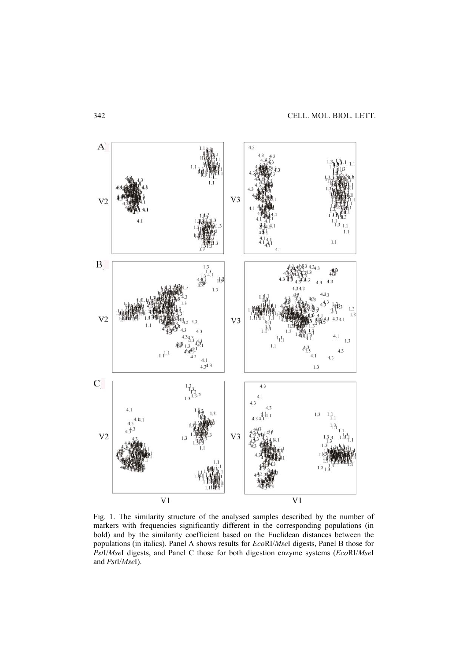

Fig. 1. The similarity structure of the analysed samples described by the number of markers with frequencies significantly different in the corresponding populations (in bold) and by the similarity coefficient based on the Euclidean distances between the populations (in italics). Panel A shows results for *Eco*RI/*Mse*I digests, Panel B those for *Pst*I/*Mse*I digests, and Panel C those for both digestion enzyme systems (*Eco*RI/*Mse*I and *Pst*I/*Mse*I).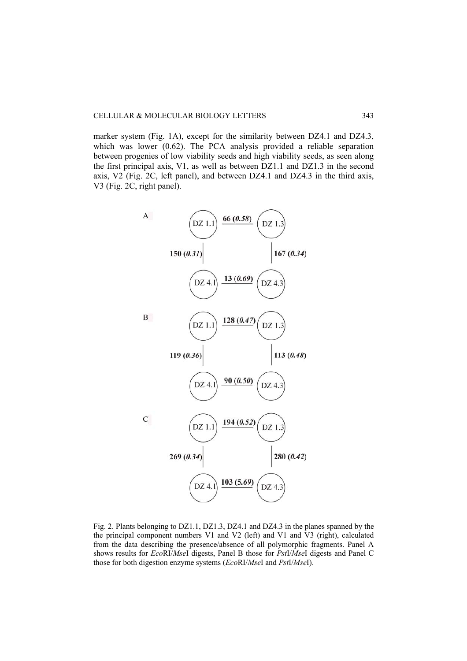marker system (Fig. 1A), except for the similarity between DZ4.1 and DZ4.3, which was lower (0.62). The PCA analysis provided a reliable separation between progenies of low viability seeds and high viability seeds, as seen along the first principal axis, V1, as well as between DZ1.1 and DZ1.3 in the second axis, V2 (Fig. 2C, left panel), and between DZ4.1 and DZ4.3 in the third axis, V3 (Fig. 2C, right panel).



Fig. 2. Plants belonging to DZ1.1, DZ1.3, DZ4.1 and DZ4.3 in the planes spanned by the the principal component numbers V1 and V2 (left) and V1 and V3 (right), calculated from the data describing the presence/absence of all polymorphic fragments. Panel A shows results for *Eco*RI/*Mse*I digests, Panel B those for *Pst*I/*Mse*I digests and Panel C those for both digestion enzyme systems (*Eco*RI/*Mse*I and *Pst*I/*Mse*I).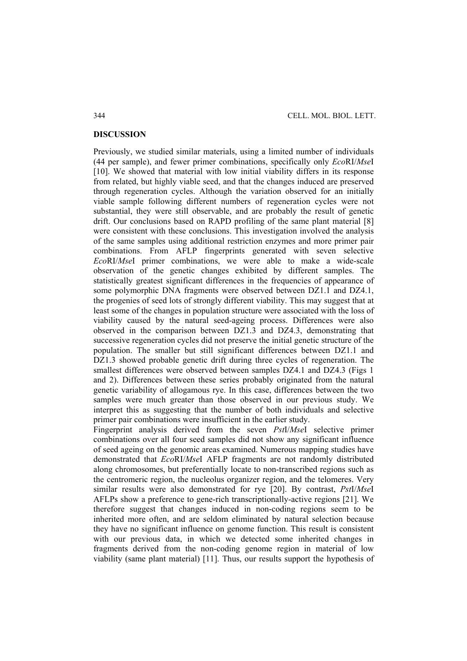#### **DISCUSSION**

Previously, we studied similar materials, using a limited number of individuals (44 per sample), and fewer primer combinations, specifically only *Eco*RI/*Mse*I [10]. We showed that material with low initial viability differs in its response from related, but highly viable seed, and that the changes induced are preserved through regeneration cycles. Although the variation observed for an initially viable sample following different numbers of regeneration cycles were not substantial, they were still observable, and are probably the result of genetic drift. Our conclusions based on RAPD profiling of the same plant material [8] were consistent with these conclusions. This investigation involved the analysis of the same samples using additional restriction enzymes and more primer pair combinations. From AFLP fingerprints generated with seven selective *Eco*RI/*Mse*I primer combinations, we were able to make a wide-scale observation of the genetic changes exhibited by different samples. The statistically greatest significant differences in the frequencies of appearance of some polymorphic DNA fragments were observed between DZ1.1 and DZ4.1, the progenies of seed lots of strongly different viability. This may suggest that at least some of the changes in population structure were associated with the loss of viability caused by the natural seed-ageing process. Differences were also observed in the comparison between DZ1.3 and DZ4.3, demonstrating that successive regeneration cycles did not preserve the initial genetic structure of the population. The smaller but still significant differences between DZ1.1 and DZ1.3 showed probable genetic drift during three cycles of regeneration. The smallest differences were observed between samples DZ4.1 and DZ4.3 (Figs 1 and 2). Differences between these series probably originated from the natural genetic variability of allogamous rye. In this case, differences between the two samples were much greater than those observed in our previous study. We interpret this as suggesting that the number of both individuals and selective primer pair combinations were insufficient in the earlier study.

Fingerprint analysis derived from the seven *Pst*I/*Mse*I selective primer combinations over all four seed samples did not show any significant influence of seed ageing on the genomic areas examined. Numerous mapping studies have demonstrated that *Eco*RI/*Mse*I AFLP fragments are not randomly distributed along chromosomes, but preferentially locate to non-transcribed regions such as the centromeric region, the nucleolus organizer region, and the telomeres. Very similar results were also demonstrated for rye [20]. By contrast, *Pst*I/*Mse*I AFLPs show a preference to gene-rich transcriptionally-active regions [21]. We therefore suggest that changes induced in non-coding regions seem to be inherited more often, and are seldom eliminated by natural selection because they have no significant influence on genome function. This result is consistent with our previous data, in which we detected some inherited changes in fragments derived from the non-coding genome region in material of low viability (same plant material) [11]. Thus, our results support the hypothesis of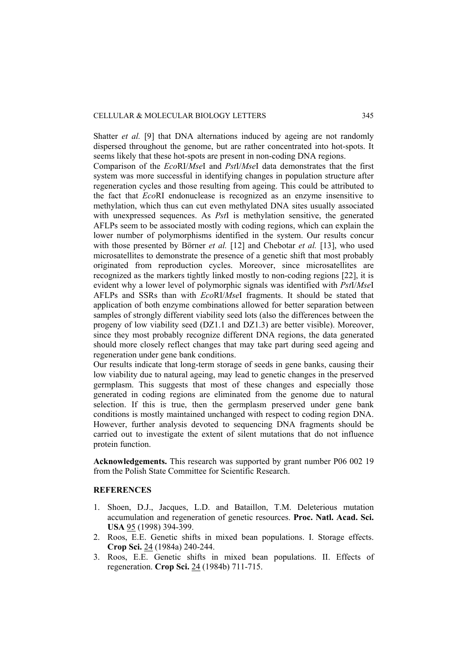Shatter *et al.* [9] that DNA alternations induced by ageing are not randomly dispersed throughout the genome, but are rather concentrated into hot-spots. It seems likely that these hot-spots are present in non-coding DNA regions.

Comparison of the *Eco*RI/*Mse*I and *Pst*I/*Mse*I data demonstrates that the first system was more successful in identifying changes in population structure after regeneration cycles and those resulting from ageing. This could be attributed to the fact that *Eco*RI endonuclease is recognized as an enzyme insensitive to methylation, which thus can cut even methylated DNA sites usually associated with unexpressed sequences. As *Pst*I is methylation sensitive, the generated AFLPs seem to be associated mostly with coding regions, which can explain the lower number of polymorphisms identified in the system. Our results concur with those presented by Börner *et al.* [12] and Chebotar *et al.* [13], who used microsatellites to demonstrate the presence of a genetic shift that most probably originated from reproduction cycles. Moreover, since microsatellites are recognized as the markers tightly linked mostly to non-coding regions [22], it is evident why a lower level of polymorphic signals was identified with *Pst*I/*Mse*I AFLPs and SSRs than with *Eco*RI/*Mse*I fragments. It should be stated that application of both enzyme combinations allowed for better separation between samples of strongly different viability seed lots (also the differences between the progeny of low viability seed (DZ1.1 and DZ1.3) are better visible). Moreover, since they most probably recognize different DNA regions, the data generated should more closely reflect changes that may take part during seed ageing and regeneration under gene bank conditions.

Our results indicate that long-term storage of seeds in gene banks, causing their low viability due to natural ageing, may lead to genetic changes in the preserved germplasm. This suggests that most of these changes and especially those generated in coding regions are eliminated from the genome due to natural selection. If this is true, then the germplasm preserved under gene bank conditions is mostly maintained unchanged with respect to coding region DNA. However, further analysis devoted to sequencing DNA fragments should be carried out to investigate the extent of silent mutations that do not influence protein function.

**Acknowledgements.** This research was supported by grant number P06 002 19 from the Polish State Committee for Scientific Research.

## **REFERENCES**

- 1. Shoen, D.J., Jacques, L.D. and Bataillon, T.M. Deleterious mutation accumulation and regeneration of genetic resources. **Proc. Natl. Acad. Sci. USA** 95 (1998) 394-399.
- 2. Roos, E.E. Genetic shifts in mixed bean populations. I. Storage effects. **Crop Sci.** 24 (1984a) 240-244.
- 3. Roos, E.E. Genetic shifts in mixed bean populations. II. Effects of regeneration. **Crop Sci.** 24 (1984b) 711-715.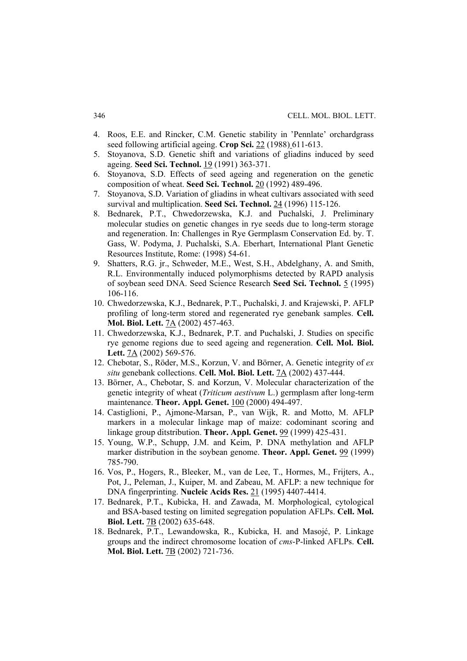- 4. Roos, E.E. and Rincker, C.M. Genetic stability in 'Pennlate' orchardgrass seed following artificial ageing. **Crop Sci.** 22 (1988) 611-613.
- 5. Stoyanova, S.D. Genetic shift and variations of gliadins induced by seed ageing. **Seed Sci. Technol.** 19 (1991) 363-371.
- 6. Stoyanova, S.D. Effects of seed ageing and regeneration on the genetic composition of wheat. **Seed Sci. Technol.** 20 (1992) 489-496.
- 7. Stoyanova, S.D. Variation of gliadins in wheat cultivars associated with seed survival and multiplication. **Seed Sci. Technol.** 24 (1996) 115-126.
- 8. Bednarek, P.T., Chwedorzewska, K.J. and Puchalski, J. Preliminary molecular studies on genetic changes in rye seeds due to long-term storage and regeneration. In: Challenges in Rye Germplasm Conservation Ed. by. T. Gass, W. Podyma, J. Puchalski, S.A. Eberhart, International Plant Genetic Resources Institute, Rome: (1998) 54-61.
- 9. Shatters, R.G. jr., Schweder, M.E., West, S.H., Abdelghany, A. and Smith, R.L. Environmentally induced polymorphisms detected by RAPD analysis of soybean seed DNA. Seed Science Research **Seed Sci. Technol.** 5 (1995) 106-116.
- 10. Chwedorzewska, K.J., Bednarek, P.T., Puchalski, J. and Krajewski, P. AFLP profiling of long-term stored and regenerated rye genebank samples. **Cell. Mol. Biol. Lett.** 7A (2002) 457-463.
- 11. Chwedorzewska, K.J., Bednarek, P.T. and Puchalski, J. Studies on specific rye genome regions due to seed ageing and regeneration. **Cell. Mol. Biol. Lett.** 7A (2002) 569-576.
- 12. Chebotar, S., Röder, M.S., Korzun, V. and Börner, A. Genetic integrity of *ex situ* genebank collections. **Cell. Mol. Biol. Lett.** 7A (2002) 437-444.
- 13. Börner, A., Chebotar, S. and Korzun, V. Molecular characterization of the genetic integrity of wheat (*Triticum aestivum* L.) germplasm after long-term maintenance. **Theor. Appl. Genet.** 100 (2000) 494-497.
- 14. Castiglioni, P., Ajmone-Marsan, P., van Wijk, R. and Motto, M. AFLP markers in a molecular linkage map of maize: codominant scoring and linkage group ditstribution. **Theor. Appl. Genet.** 99 (1999) 425-431.
- 15. Young, W.P., Schupp, J.M. and Keim, P. DNA methylation and AFLP marker distribution in the soybean genome. **Theor. Appl. Genet.** 99 (1999) 785-790.
- 16. Vos, P., Hogers, R., Bleeker, M., van de Lee, T., Hormes, M., Frijters, A., Pot, J., Peleman, J., Kuiper, M. and Zabeau, M. AFLP: a new technique for DNA fingerprinting. **Nucleic Acids Res.** 21 (1995) 4407-4414.
- 17. Bednarek, P.T., Kubicka, H. and Zawada, M. Morphological, cytological and BSA-based testing on limited segregation population AFLPs. **Cell. Mol. Biol. Lett.** 7B (2002) 635-648.
- 18. Bednarek, P.T., Lewandowska, R., Kubicka, H. and Masojć, P. Linkage groups and the indirect chromosome location of *cms*-P-linked AFLPs. **Cell. Mol. Biol. Lett.** 7B (2002) 721-736.